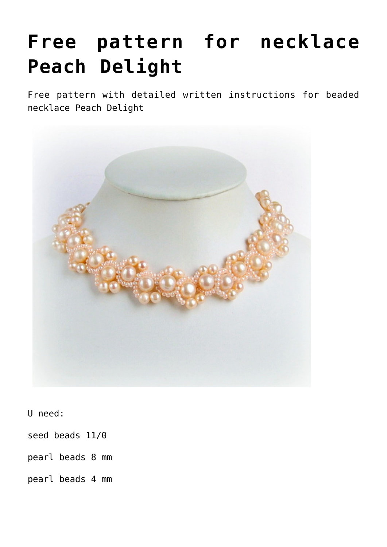## **[Free pattern for necklace](https://beadsmagic.com/free-pattern-for-necklace-peach-delight/) [Peach Delight](https://beadsmagic.com/free-pattern-for-necklace-peach-delight/)**

Free pattern with detailed written instructions for beaded necklace Peach Delight



U need:

seed beads 11/0

pearl beads 8 mm

pearl beads 4 mm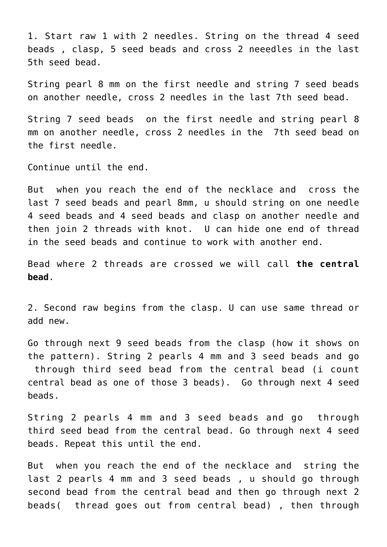1. Start raw 1 with 2 needles. String on the thread 4 seed beads , clasp, 5 seed beads and cross 2 neeedles in the last 5th seed bead.

String pearl 8 mm on the first needle and string 7 seed beads on another needle, cross 2 needles in the last 7th seed bead.

String 7 seed beads on the first needle and string pearl 8 mm on another needle, cross 2 needles in the 7th seed bead on the first needle.

Continue until the end.

But when you reach the end of the necklace and cross the last 7 seed beads and pearl 8mm, u should string on one needle 4 seed beads and 4 seed beads and clasp on another needle and then join 2 threads with knot. U can hide one end of thread in the seed beads and continue to work with another end.

Bead where 2 threads are crossed we will call **the central bead**.

2. Second raw begins from the clasp. U can use same thread or add new.

Go through next 9 seed beads from the clasp (how it shows on the pattern). String 2 pearls 4 mm and 3 seed beads and go through third seed bead from the central bead (i count central bead as one of those 3 beads). Go through next 4 seed beads.

String 2 pearls 4 mm and 3 seed beads and go through third seed bead from the central bead. Go through next 4 seed beads. Repeat this until the end.

But when you reach the end of the necklace and string the last 2 pearls 4 mm and 3 seed beads , u should go through second bead from the central bead and then go through next 2 beads( thread goes out from central bead) , then through